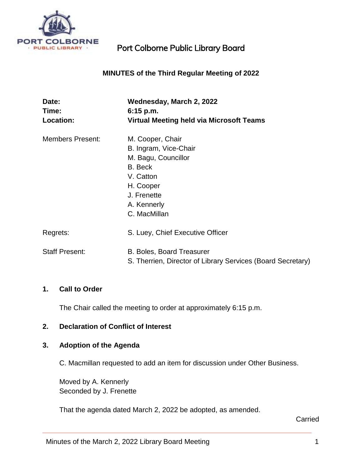

# **MINUTES of the Third Regular Meeting of 2022**

| Date:<br>Time:          | Wednesday, March 2, 2022<br>6:15 p.m.                       |
|-------------------------|-------------------------------------------------------------|
| <b>Location:</b>        | <b>Virtual Meeting held via Microsoft Teams</b>             |
| <b>Members Present:</b> | M. Cooper, Chair                                            |
|                         | B. Ingram, Vice-Chair                                       |
|                         | M. Bagu, Councillor                                         |
|                         | B. Beck                                                     |
|                         | V. Catton                                                   |
|                         | H. Cooper                                                   |
|                         | J. Frenette                                                 |
|                         | A. Kennerly                                                 |
|                         | C. MacMillan                                                |
| Regrets:                | S. Luey, Chief Executive Officer                            |
| <b>Staff Present:</b>   | <b>B. Boles, Board Treasurer</b>                            |
|                         | S. Therrien, Director of Library Services (Board Secretary) |

#### **1. Call to Order**

The Chair called the meeting to order at approximately 6:15 p.m.

## **2. Declaration of Conflict of Interest**

## **3. Adoption of the Agenda**

C. Macmillan requested to add an item for discussion under Other Business.

Moved by A. Kennerly Seconded by J. Frenette

That the agenda dated March 2, 2022 be adopted, as amended.

Carried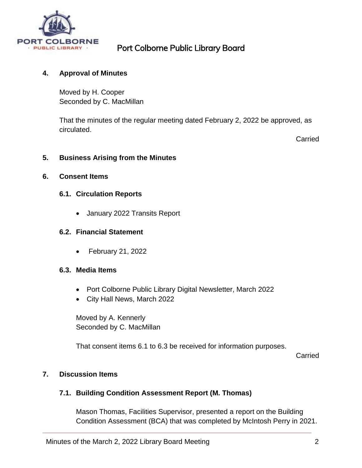

## **4. Approval of Minutes**

Moved by H. Cooper Seconded by C. MacMillan

That the minutes of the regular meeting dated February 2, 2022 be approved, as circulated.

Carried

#### **5. Business Arising from the Minutes**

#### **6. Consent Items**

#### **6.1. Circulation Reports**

January 2022 Transits Report

#### **6.2. Financial Statement**

February 21, 2022

#### **6.3. Media Items**

- Port Colborne Public Library Digital Newsletter, March 2022
- City Hall News, March 2022

Moved by A. Kennerly Seconded by C. MacMillan

That consent items 6.1 to 6.3 be received for information purposes.

Carried

## **7. Discussion Items**

#### **7.1. Building Condition Assessment Report (M. Thomas)**

Mason Thomas, Facilities Supervisor, presented a report on the Building Condition Assessment (BCA) that was completed by McIntosh Perry in 2021.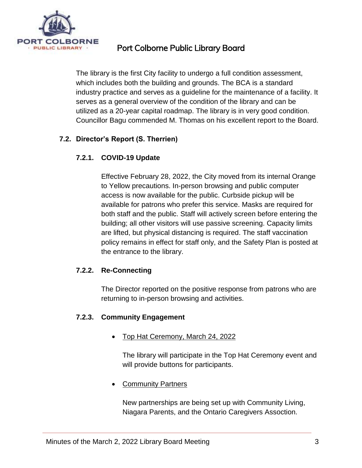

The library is the first City facility to undergo a full condition assessment, which includes both the building and grounds. The BCA is a standard industry practice and serves as a guideline for the maintenance of a facility. It serves as a general overview of the condition of the library and can be utilized as a 20-year capital roadmap. The library is in very good condition. Councillor Bagu commended M. Thomas on his excellent report to the Board.

# **7.2. Director's Report (S. Therrien)**

## **7.2.1. COVID-19 Update**

Effective February 28, 2022, the City moved from its internal Orange to Yellow precautions. In-person browsing and public computer access is now available for the public. Curbside pickup will be available for patrons who prefer this service. Masks are required for both staff and the public. Staff will actively screen before entering the building; all other visitors will use passive screening. Capacity limits are lifted, but physical distancing is required. The staff vaccination policy remains in effect for staff only, and the Safety Plan is posted at the entrance to the library.

## **7.2.2. Re-Connecting**

The Director reported on the positive response from patrons who are returning to in-person browsing and activities.

## **7.2.3. Community Engagement**

• Top Hat Ceremony, March 24, 2022

The library will participate in the Top Hat Ceremony event and will provide buttons for participants.

**Community Partners** 

New partnerships are being set up with Community Living, Niagara Parents, and the Ontario Caregivers Assoction.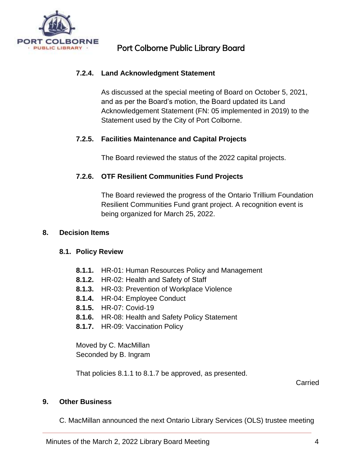

## **7.2.4. Land Acknowledgment Statement**

As discussed at the special meeting of Board on October 5, 2021, and as per the Board's motion, the Board updated its Land Acknowledgement Statement (FN: 05 implemented in 2019) to the Statement used by the City of Port Colborne.

## **7.2.5. Facilities Maintenance and Capital Projects**

The Board reviewed the status of the 2022 capital projects.

## **7.2.6. OTF Resilient Communities Fund Projects**

The Board reviewed the progress of the Ontario Trillium Foundation Resilient Communities Fund grant project. A recognition event is being organized for March 25, 2022.

## **8. Decision Items**

## **8.1. Policy Review**

- **8.1.1.** HR-01: Human Resources Policy and Management
- **8.1.2.** HR-02: Health and Safety of Staff
- **8.1.3.** HR-03: Prevention of Workplace Violence
- **8.1.4.** HR-04: Employee Conduct
- **8.1.5.** HR-07: Covid-19
- **8.1.6.** HR-08: Health and Safety Policy Statement
- **8.1.7.** HR-09: Vaccination Policy

Moved by C. MacMillan Seconded by B. Ingram

That policies 8.1.1 to 8.1.7 be approved, as presented.

Carried

#### **9. Other Business**

C. MacMillan announced the next Ontario Library Services (OLS) trustee meeting